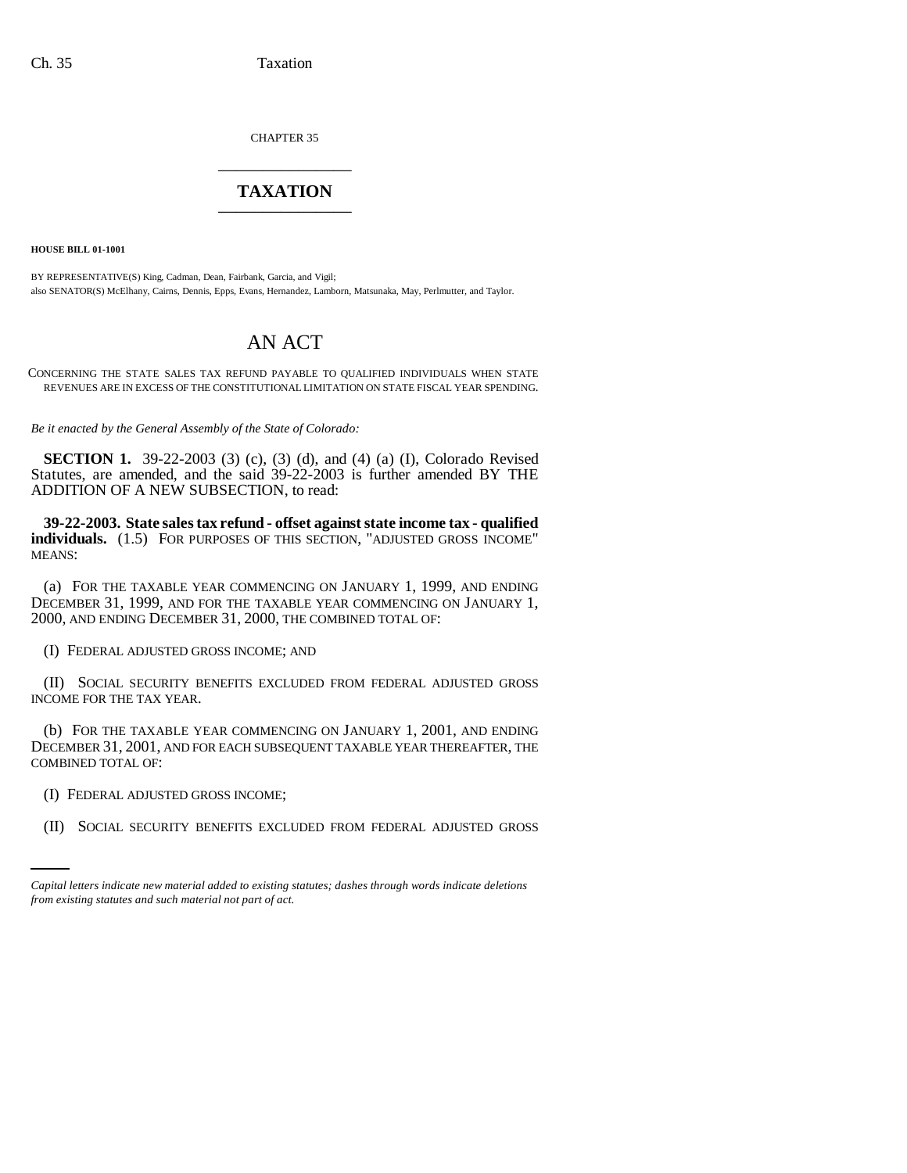CHAPTER 35 \_\_\_\_\_\_\_\_\_\_\_\_\_\_\_

## **TAXATION** \_\_\_\_\_\_\_\_\_\_\_\_\_\_\_

**HOUSE BILL 01-1001**

BY REPRESENTATIVE(S) King, Cadman, Dean, Fairbank, Garcia, and Vigil; also SENATOR(S) McElhany, Cairns, Dennis, Epps, Evans, Hernandez, Lamborn, Matsunaka, May, Perlmutter, and Taylor.

## AN ACT

CONCERNING THE STATE SALES TAX REFUND PAYABLE TO QUALIFIED INDIVIDUALS WHEN STATE REVENUES ARE IN EXCESS OF THE CONSTITUTIONAL LIMITATION ON STATE FISCAL YEAR SPENDING.

*Be it enacted by the General Assembly of the State of Colorado:*

**SECTION 1.** 39-22-2003 (3) (c), (3) (d), and (4) (a) (I), Colorado Revised Statutes, are amended, and the said 39-22-2003 is further amended BY THE ADDITION OF A NEW SUBSECTION, to read:

**39-22-2003. State sales tax refund - offset against state income tax - qualified** individuals. (1.5) FOR PURPOSES OF THIS SECTION, "ADJUSTED GROSS INCOME" MEANS:

(a) FOR THE TAXABLE YEAR COMMENCING ON JANUARY 1, 1999, AND ENDING DECEMBER 31, 1999, AND FOR THE TAXABLE YEAR COMMENCING ON JANUARY 1, 2000, AND ENDING DECEMBER 31, 2000, THE COMBINED TOTAL OF:

(I) FEDERAL ADJUSTED GROSS INCOME; AND

(II) SOCIAL SECURITY BENEFITS EXCLUDED FROM FEDERAL ADJUSTED GROSS INCOME FOR THE TAX YEAR.

(b) FOR THE TAXABLE YEAR COMMENCING ON JANUARY 1, 2001, AND ENDING DECEMBER 31, 2001, AND FOR EACH SUBSEQUENT TAXABLE YEAR THEREAFTER, THE COMBINED TOTAL OF:

(I) FEDERAL ADJUSTED GROSS INCOME;

(II) SOCIAL SECURITY BENEFITS EXCLUDED FROM FEDERAL ADJUSTED GROSS

*Capital letters indicate new material added to existing statutes; dashes through words indicate deletions from existing statutes and such material not part of act.*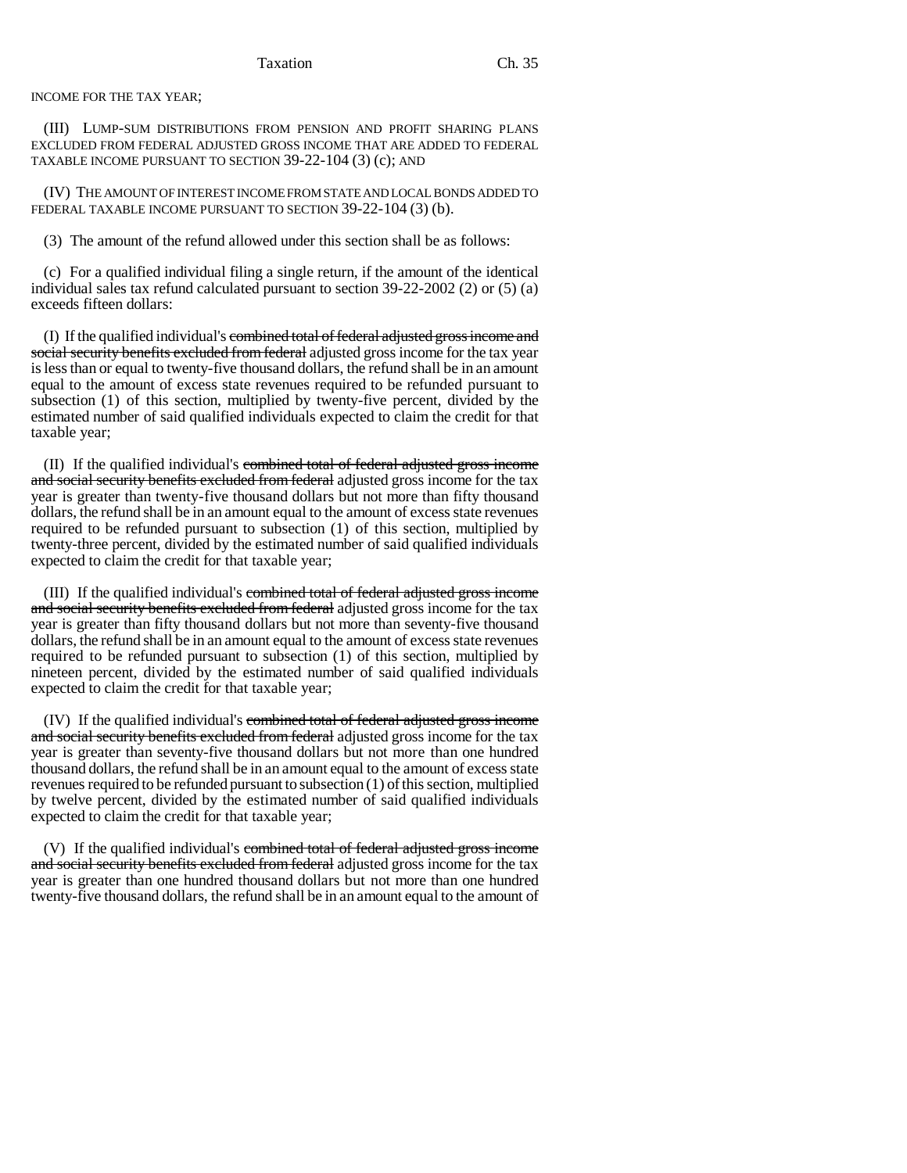INCOME FOR THE TAX YEAR;

(III) LUMP-SUM DISTRIBUTIONS FROM PENSION AND PROFIT SHARING PLANS EXCLUDED FROM FEDERAL ADJUSTED GROSS INCOME THAT ARE ADDED TO FEDERAL TAXABLE INCOME PURSUANT TO SECTION 39-22-104 (3) (c); AND

(IV) THE AMOUNT OF INTEREST INCOME FROM STATE AND LOCAL BONDS ADDED TO FEDERAL TAXABLE INCOME PURSUANT TO SECTION 39-22-104 (3) (b).

(3) The amount of the refund allowed under this section shall be as follows:

(c) For a qualified individual filing a single return, if the amount of the identical individual sales tax refund calculated pursuant to section 39-22-2002 (2) or (5) (a) exceeds fifteen dollars:

(I) If the qualified individual's combined total of federal adjusted gross income and social security benefits excluded from federal adjusted gross income for the tax year is less than or equal to twenty-five thousand dollars, the refund shall be in an amount equal to the amount of excess state revenues required to be refunded pursuant to subsection (1) of this section, multiplied by twenty-five percent, divided by the estimated number of said qualified individuals expected to claim the credit for that taxable year;

(II) If the qualified individual's combined total of federal adjusted gross income and social security benefits excluded from federal adjusted gross income for the tax year is greater than twenty-five thousand dollars but not more than fifty thousand dollars, the refund shall be in an amount equal to the amount of excess state revenues required to be refunded pursuant to subsection (1) of this section, multiplied by twenty-three percent, divided by the estimated number of said qualified individuals expected to claim the credit for that taxable year;

(III) If the qualified individual's combined total of federal adjusted gross income and social security benefits excluded from federal adjusted gross income for the tax year is greater than fifty thousand dollars but not more than seventy-five thousand dollars, the refund shall be in an amount equal to the amount of excess state revenues required to be refunded pursuant to subsection (1) of this section, multiplied by nineteen percent, divided by the estimated number of said qualified individuals expected to claim the credit for that taxable year;

(IV) If the qualified individual's combined total of federal adjusted gross income and social security benefits excluded from federal adjusted gross income for the tax year is greater than seventy-five thousand dollars but not more than one hundred thousand dollars, the refund shall be in an amount equal to the amount of excess state revenues required to be refunded pursuant to subsection (1) of this section, multiplied by twelve percent, divided by the estimated number of said qualified individuals expected to claim the credit for that taxable year;

(V) If the qualified individual's combined total of federal adjusted gross income and social security benefits excluded from federal adjusted gross income for the tax year is greater than one hundred thousand dollars but not more than one hundred twenty-five thousand dollars, the refund shall be in an amount equal to the amount of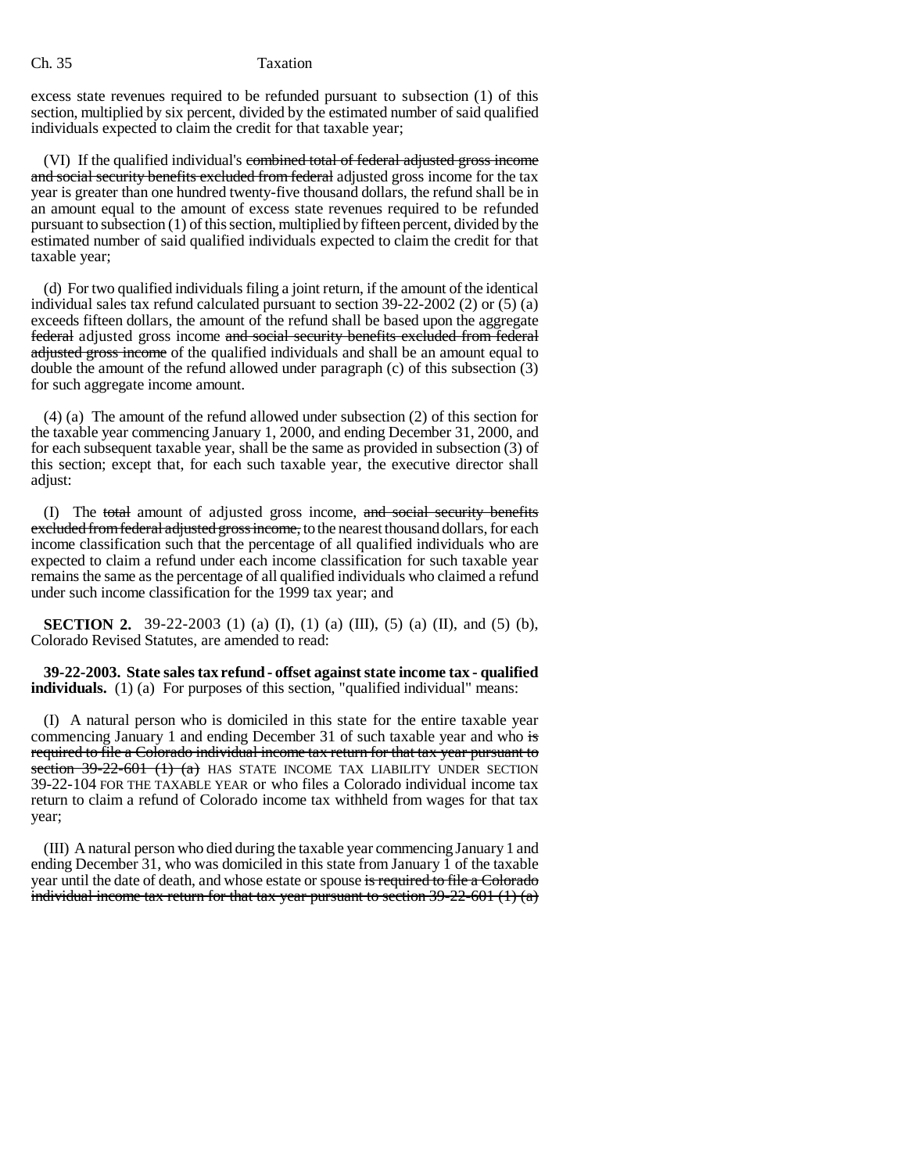## Ch. 35 Taxation

excess state revenues required to be refunded pursuant to subsection (1) of this section, multiplied by six percent, divided by the estimated number of said qualified individuals expected to claim the credit for that taxable year;

(VI) If the qualified individual's combined total of federal adjusted gross income and social security benefits excluded from federal adjusted gross income for the tax year is greater than one hundred twenty-five thousand dollars, the refund shall be in an amount equal to the amount of excess state revenues required to be refunded pursuant to subsection (1) of this section, multiplied by fifteen percent, divided by the estimated number of said qualified individuals expected to claim the credit for that taxable year;

(d) For two qualified individuals filing a joint return, if the amount of the identical individual sales tax refund calculated pursuant to section 39-22-2002 (2) or (5) (a) exceeds fifteen dollars, the amount of the refund shall be based upon the aggregate federal adjusted gross income and social security benefits excluded from federal adjusted gross income of the qualified individuals and shall be an amount equal to double the amount of the refund allowed under paragraph (c) of this subsection (3) for such aggregate income amount.

(4) (a) The amount of the refund allowed under subsection (2) of this section for the taxable year commencing January 1, 2000, and ending December 31, 2000, and for each subsequent taxable year, shall be the same as provided in subsection (3) of this section; except that, for each such taxable year, the executive director shall adjust:

(I) The total amount of adjusted gross income, and social security benefits excluded from federal adjusted gross income, to the nearest thousand dollars, for each income classification such that the percentage of all qualified individuals who are expected to claim a refund under each income classification for such taxable year remains the same as the percentage of all qualified individuals who claimed a refund under such income classification for the 1999 tax year; and

**SECTION 2.** 39-22-2003 (1) (a) (I), (1) (a) (III), (5) (a) (II), and (5) (b), Colorado Revised Statutes, are amended to read:

**39-22-2003. State sales tax refund - offset against state income tax - qualified individuals.** (1) (a) For purposes of this section, "qualified individual" means:

(I) A natural person who is domiciled in this state for the entire taxable year commencing January 1 and ending December 31 of such taxable year and who  $\frac{1}{15}$ required to file a Colorado individual income tax return for that tax year pursuant to section 39-22-601 (1) (a) HAS STATE INCOME TAX LIABILITY UNDER SECTION 39-22-104 FOR THE TAXABLE YEAR or who files a Colorado individual income tax return to claim a refund of Colorado income tax withheld from wages for that tax year;

(III) A natural person who died during the taxable year commencing January 1 and ending December 31, who was domiciled in this state from January  $\overline{1}$  of the taxable year until the date of death, and whose estate or spouse is required to file a Colorado individual income tax return for that tax year pursuant to section  $39-22-601$  (1) (a)